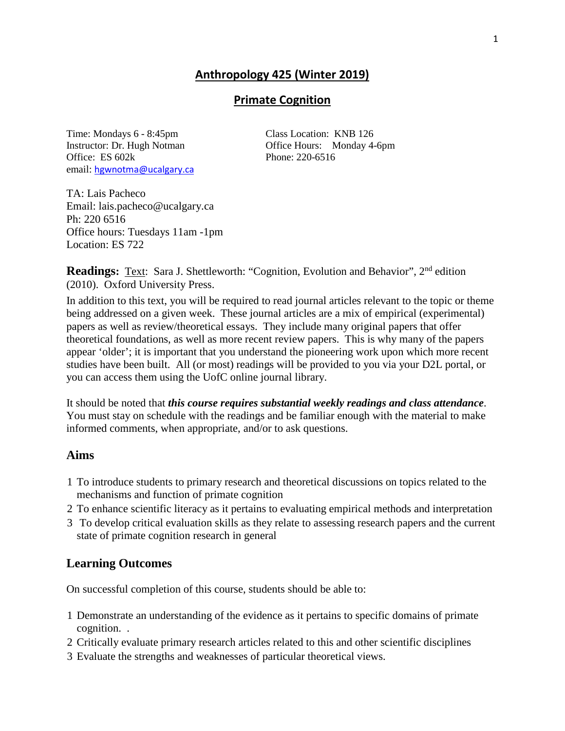# **Anthropology 425 (Winter 2019)**

### **Primate Cognition**

Time: Mondays 6 - 8:45pm Class Location: KNB 126 Instructor: Dr. Hugh Notman Office Hours: Monday 4-6pm Office: ES 602k Phone: 220-6516 email: [hgwnotma@ucalgary.ca](mailto:hgwnotma@ucalgary.ca)

TA: Lais Pacheco Email: lais.pacheco@ucalgary.ca Ph: 220 6516 Office hours: Tuesdays 11am -1pm Location: ES 722

**Readings:** Text: Sara J. Shettleworth: "Cognition, Evolution and Behavior", 2<sup>nd</sup> edition (2010). Oxford University Press.

In addition to this text, you will be required to read journal articles relevant to the topic or theme being addressed on a given week. These journal articles are a mix of empirical (experimental) papers as well as review/theoretical essays. They include many original papers that offer theoretical foundations, as well as more recent review papers. This is why many of the papers appear 'older'; it is important that you understand the pioneering work upon which more recent studies have been built. All (or most) readings will be provided to you via your D2L portal, or you can access them using the UofC online journal library.

It should be noted that *this course requires substantial weekly readings and class attendance*. You must stay on schedule with the readings and be familiar enough with the material to make informed comments, when appropriate, and/or to ask questions.

### **Aims**

- 1 To introduce students to primary research and theoretical discussions on topics related to the mechanisms and function of primate cognition
- 2 To enhance scientific literacy as it pertains to evaluating empirical methods and interpretation
- 3 To develop critical evaluation skills as they relate to assessing research papers and the current state of primate cognition research in general

## **Learning Outcomes**

On successful completion of this course, students should be able to:

- 1 Demonstrate an understanding of the evidence as it pertains to specific domains of primate cognition. .
- 2 Critically evaluate primary research articles related to this and other scientific disciplines
- 3 Evaluate the strengths and weaknesses of particular theoretical views.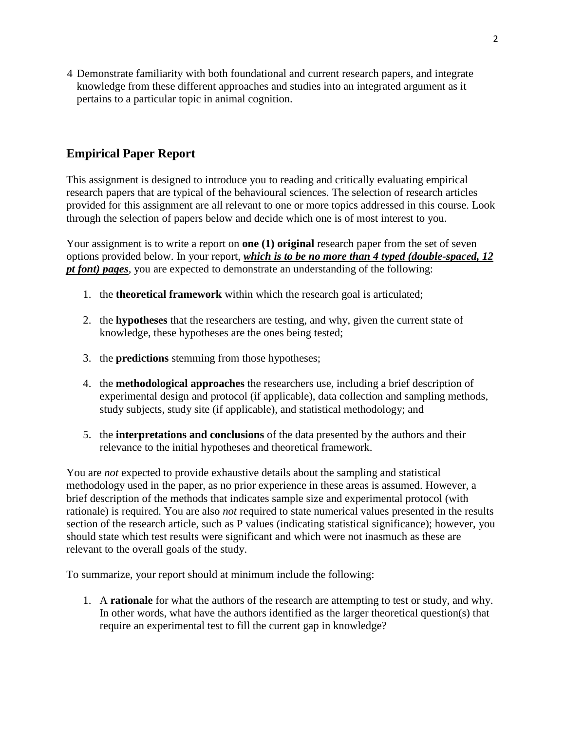4 Demonstrate familiarity with both foundational and current research papers, and integrate knowledge from these different approaches and studies into an integrated argument as it pertains to a particular topic in animal cognition.

# **Empirical Paper Report**

This assignment is designed to introduce you to reading and critically evaluating empirical research papers that are typical of the behavioural sciences. The selection of research articles provided for this assignment are all relevant to one or more topics addressed in this course. Look through the selection of papers below and decide which one is of most interest to you.

Your assignment is to write a report on **one (1) original** research paper from the set of seven options provided below. In your report, *which is to be no more than 4 typed (double-spaced, 12 pt font) pages*, you are expected to demonstrate an understanding of the following:

- 1. the **theoretical framework** within which the research goal is articulated;
- 2. the **hypotheses** that the researchers are testing, and why, given the current state of knowledge, these hypotheses are the ones being tested;
- 3. the **predictions** stemming from those hypotheses;
- 4. the **methodological approaches** the researchers use, including a brief description of experimental design and protocol (if applicable), data collection and sampling methods, study subjects, study site (if applicable), and statistical methodology; and
- 5. the **interpretations and conclusions** of the data presented by the authors and their relevance to the initial hypotheses and theoretical framework.

You are *not* expected to provide exhaustive details about the sampling and statistical methodology used in the paper, as no prior experience in these areas is assumed. However, a brief description of the methods that indicates sample size and experimental protocol (with rationale) is required. You are also *not* required to state numerical values presented in the results section of the research article, such as P values (indicating statistical significance); however, you should state which test results were significant and which were not inasmuch as these are relevant to the overall goals of the study.

To summarize, your report should at minimum include the following:

1. A **rationale** for what the authors of the research are attempting to test or study, and why. In other words, what have the authors identified as the larger theoretical question(s) that require an experimental test to fill the current gap in knowledge?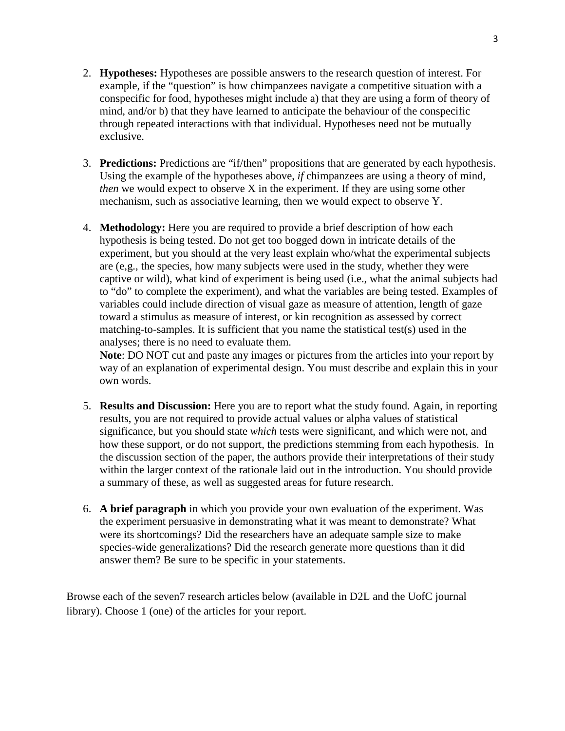- 2. **Hypotheses:** Hypotheses are possible answers to the research question of interest. For example, if the "question" is how chimpanzees navigate a competitive situation with a conspecific for food, hypotheses might include a) that they are using a form of theory of mind, and/or b) that they have learned to anticipate the behaviour of the conspecific through repeated interactions with that individual. Hypotheses need not be mutually exclusive.
- 3. **Predictions:** Predictions are "if/then" propositions that are generated by each hypothesis. Using the example of the hypotheses above, *if* chimpanzees are using a theory of mind, *then* we would expect to observe X in the experiment. If they are using some other mechanism, such as associative learning, then we would expect to observe Y.
- 4. **Methodology:** Here you are required to provide a brief description of how each hypothesis is being tested. Do not get too bogged down in intricate details of the experiment, but you should at the very least explain who/what the experimental subjects are (e,g., the species, how many subjects were used in the study, whether they were captive or wild), what kind of experiment is being used (i.e., what the animal subjects had to "do" to complete the experiment), and what the variables are being tested. Examples of variables could include direction of visual gaze as measure of attention, length of gaze toward a stimulus as measure of interest, or kin recognition as assessed by correct matching-to-samples. It is sufficient that you name the statistical test(s) used in the analyses; there is no need to evaluate them.

**Note**: DO NOT cut and paste any images or pictures from the articles into your report by way of an explanation of experimental design. You must describe and explain this in your own words.

- 5. **Results and Discussion:** Here you are to report what the study found. Again, in reporting results, you are not required to provide actual values or alpha values of statistical significance, but you should state *which* tests were significant, and which were not, and how these support, or do not support, the predictions stemming from each hypothesis. In the discussion section of the paper, the authors provide their interpretations of their study within the larger context of the rationale laid out in the introduction. You should provide a summary of these, as well as suggested areas for future research.
- 6. **A brief paragraph** in which you provide your own evaluation of the experiment. Was the experiment persuasive in demonstrating what it was meant to demonstrate? What were its shortcomings? Did the researchers have an adequate sample size to make species-wide generalizations? Did the research generate more questions than it did answer them? Be sure to be specific in your statements.

Browse each of the seven7 research articles below (available in D2L and the UofC journal library). Choose 1 (one) of the articles for your report.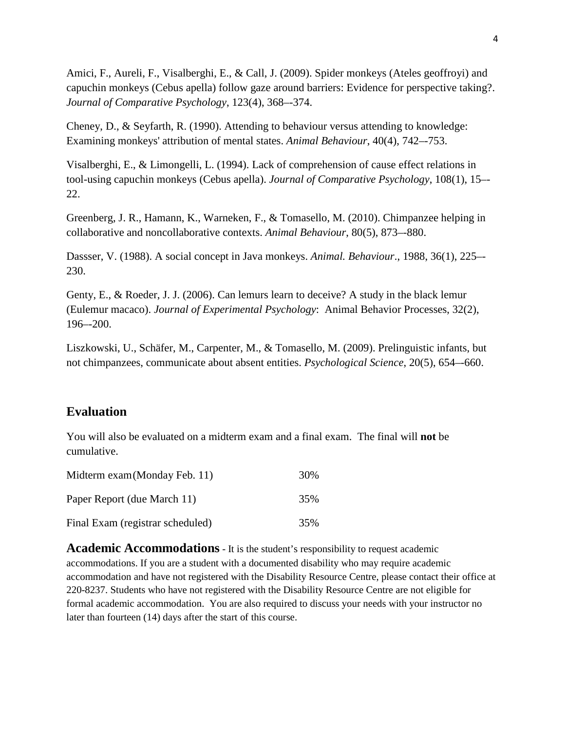Amici, F., Aureli, F., Visalberghi, E., & Call, J. (2009). Spider monkeys (Ateles geoffroyi) and capuchin monkeys (Cebus apella) follow gaze around barriers: Evidence for perspective taking?. *Journal of Comparative Psychology*, 123(4), 368–-374.

Cheney, D., & Seyfarth, R. (1990). Attending to behaviour versus attending to knowledge: Examining monkeys' attribution of mental states. *Animal Behaviour*, 40(4), 742–-753.

Visalberghi, E., & Limongelli, L. (1994). Lack of comprehension of cause effect relations in tool-using capuchin monkeys (Cebus apella). *Journal of Comparative Psychology*, 108(1), 15–- 22.

Greenberg, J. R., Hamann, K., Warneken, F., & Tomasello, M. (2010). Chimpanzee helping in collaborative and noncollaborative contexts. *Animal Behaviour*, 80(5), 873–-880.

Dassser, V. (1988). A social concept in Java monkeys. *Animal. Behaviour*., 1988, 36(1), 225–- 230.

Genty, E., & Roeder, J. J. (2006). Can lemurs learn to deceive? A study in the black lemur (Eulemur macaco). *Journal of Experimental Psychology*: Animal Behavior Processes, 32(2), 196–-200.

Liszkowski, U., Schäfer, M., Carpenter, M., & Tomasello, M. (2009). Prelinguistic infants, but not chimpanzees, communicate about absent entities. *Psychological Science*, 20(5), 654–-660.

## **Evaluation**

You will also be evaluated on a midterm exam and a final exam. The final will **not** be cumulative.

| Midterm exam (Monday Feb. 11)    | 30% |
|----------------------------------|-----|
| Paper Report (due March 11)      | 35% |
| Final Exam (registrar scheduled) | 35% |

**Academic Accommodations** - It is the student's responsibility to request academic accommodations. If you are a student with a documented disability who may require academic accommodation and have not registered with the Disability Resource Centre, please contact their office at 220-8237. Students who have not registered with the Disability Resource Centre are not eligible for formal academic accommodation. You are also required to discuss your needs with your instructor no later than fourteen (14) days after the start of this course.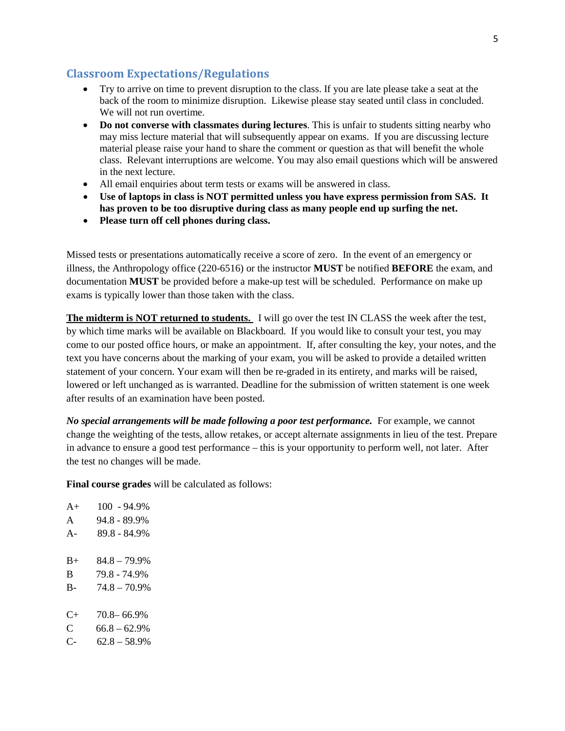### **Classroom Expectations/Regulations**

- Try to arrive on time to prevent disruption to the class. If you are late please take a seat at the back of the room to minimize disruption. Likewise please stay seated until class in concluded. We will not run overtime.
- **Do not converse with classmates during lectures**. This is unfair to students sitting nearby who may miss lecture material that will subsequently appear on exams. If you are discussing lecture material please raise your hand to share the comment or question as that will benefit the whole class. Relevant interruptions are welcome. You may also email questions which will be answered in the next lecture.
- All email enquiries about term tests or exams will be answered in class.
- **Use of laptops in class is NOT permitted unless you have express permission from SAS. It has proven to be too disruptive during class as many people end up surfing the net.**
- **Please turn off cell phones during class.**

Missed tests or presentations automatically receive a score of zero. In the event of an emergency or illness, the Anthropology office (220-6516) or the instructor **MUST** be notified **BEFORE** the exam, and documentation **MUST** be provided before a make-up test will be scheduled. Performance on make up exams is typically lower than those taken with the class.

**The midterm is NOT returned to students.** I will go over the test IN CLASS the week after the test, by which time marks will be available on Blackboard. If you would like to consult your test, you may come to our posted office hours, or make an appointment. If, after consulting the key, your notes, and the text you have concerns about the marking of your exam, you will be asked to provide a detailed written statement of your concern. Your exam will then be re-graded in its entirety, and marks will be raised, lowered or left unchanged as is warranted. Deadline for the submission of written statement is one week after results of an examination have been posted.

*No special arrangements will be made following a poor test performance.* For example, we cannot change the weighting of the tests, allow retakes, or accept alternate assignments in lieu of the test. Prepare in advance to ensure a good test performance – this is your opportunity to perform well, not later. After the test no changes will be made.

**Final course grades** will be calculated as follows:

| $A+$                 | 100 - 94.9%     |
|----------------------|-----------------|
| $\mathsf{A}$         | 94.8 - 89.9%    |
| $A -$                | 89.8 - 84.9%    |
|                      |                 |
| $B+$                 | $84.8 - 79.9\%$ |
| B                    | 79.8 - 74.9%    |
| B-                   | $74.8 - 70.9\%$ |
|                      |                 |
| $C_{\pm}$            | 70.8 – 66.9%    |
| C                    | $66.8 - 62.9%$  |
| $\mathsf{C}\text{-}$ | $62.8 - 58.9%$  |
|                      |                 |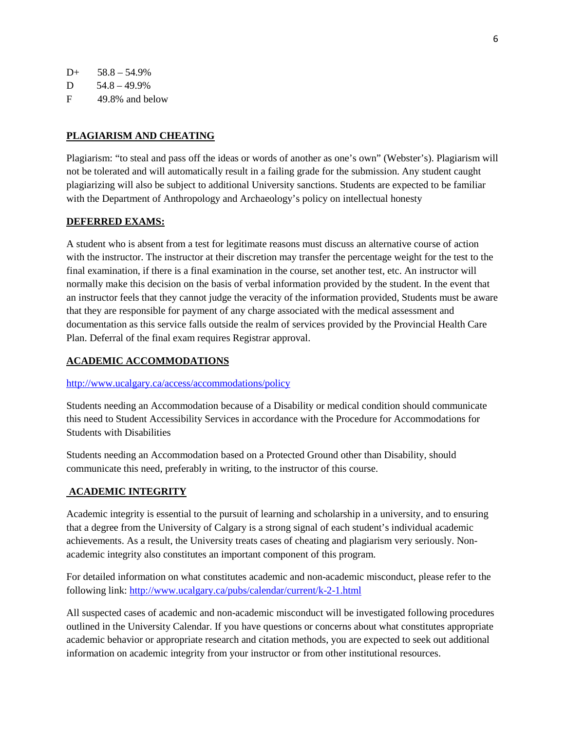$D+ 58.8 - 54.9%$  $D = 54.8 - 49.9\%$ 

F 49.8% and below

#### **PLAGIARISM AND CHEATING**

Plagiarism: "to steal and pass off the ideas or words of another as one's own" (Webster's). Plagiarism will not be tolerated and will automatically result in a failing grade for the submission. Any student caught plagiarizing will also be subject to additional University sanctions. Students are expected to be familiar with the Department of Anthropology and Archaeology's policy on intellectual honesty

#### **DEFERRED EXAMS:**

A student who is absent from a test for legitimate reasons must discuss an alternative course of action with the instructor. The instructor at their discretion may transfer the percentage weight for the test to the final examination, if there is a final examination in the course, set another test, etc. An instructor will normally make this decision on the basis of verbal information provided by the student. In the event that an instructor feels that they cannot judge the veracity of the information provided, Students must be aware that they are responsible for payment of any charge associated with the medical assessment and documentation as this service falls outside the realm of services provided by the Provincial Health Care Plan. Deferral of the final exam requires Registrar approval.

#### **ACADEMIC ACCOMMODATIONS**

#### <http://www.ucalgary.ca/access/accommodations/policy>

Students needing an Accommodation because of a Disability or medical condition should communicate this need to Student Accessibility Services in accordance with the Procedure for Accommodations for Students with Disabilities

Students needing an Accommodation based on a Protected Ground other than Disability, should communicate this need, preferably in writing, to the instructor of this course.

#### **ACADEMIC INTEGRITY**

Academic integrity is essential to the pursuit of learning and scholarship in a university, and to ensuring that a degree from the University of Calgary is a strong signal of each student's individual academic achievements. As a result, the University treats cases of cheating and plagiarism very seriously. Nonacademic integrity also constitutes an important component of this program.

For detailed information on what constitutes academic and non-academic misconduct, please refer to the following link:<http://www.ucalgary.ca/pubs/calendar/current/k-2-1.html>

All suspected cases of academic and non-academic misconduct will be investigated following procedures outlined in the University Calendar. If you have questions or concerns about what constitutes appropriate academic behavior or appropriate research and citation methods, you are expected to seek out additional information on academic integrity from your instructor or from other institutional resources.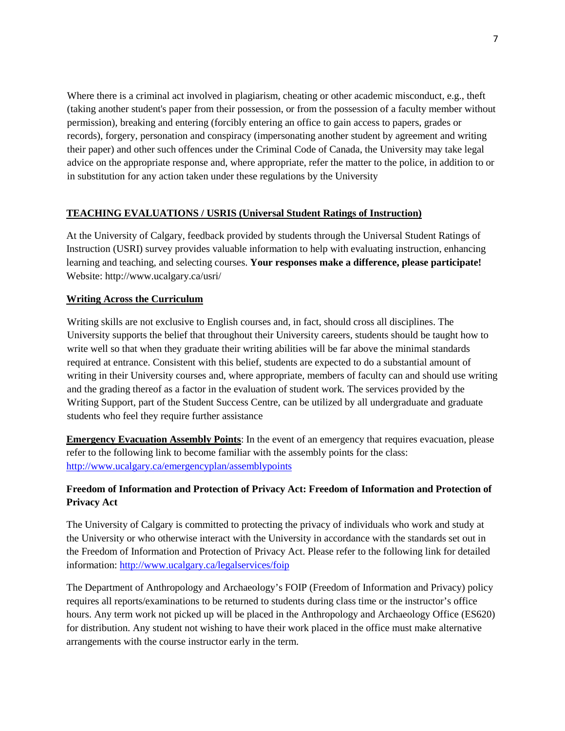Where there is a criminal act involved in plagiarism, cheating or other academic misconduct, e.g., theft (taking another student's paper from their possession, or from the possession of a faculty member without permission), breaking and entering (forcibly entering an office to gain access to papers, grades or records), forgery, personation and conspiracy (impersonating another student by agreement and writing their paper) and other such offences under the Criminal Code of Canada, the University may take legal advice on the appropriate response and, where appropriate, refer the matter to the police, in addition to or in substitution for any action taken under these regulations by the University

#### **TEACHING EVALUATIONS / USRIS (Universal Student Ratings of Instruction)**

At the University of Calgary, feedback provided by students through the Universal Student Ratings of Instruction (USRI) survey provides valuable information to help with evaluating instruction, enhancing learning and teaching, and selecting courses. **Your responses make a difference, please participate!** Website: http://www.ucalgary.ca/usri/

#### **Writing Across the Curriculum**

Writing skills are not exclusive to English courses and, in fact, should cross all disciplines. The University supports the belief that throughout their University careers, students should be taught how to write well so that when they graduate their writing abilities will be far above the minimal standards required at entrance. Consistent with this belief, students are expected to do a substantial amount of writing in their University courses and, where appropriate, members of faculty can and should use writing and the grading thereof as a factor in the evaluation of student work. The services provided by the Writing Support, part of the Student Success Centre, can be utilized by all undergraduate and graduate students who feel they require further assistance

**Emergency Evacuation Assembly Points**: In the event of an emergency that requires evacuation, please refer to the following link to become familiar with the assembly points for the class: <http://www.ucalgary.ca/emergencyplan/assemblypoints>

### **Freedom of Information and Protection of Privacy Act: Freedom of Information and Protection of Privacy Act**

The University of Calgary is committed to protecting the privacy of individuals who work and study at the University or who otherwise interact with the University in accordance with the standards set out in the Freedom of Information and Protection of Privacy Act. Please refer to the following link for detailed information[: http://www.ucalgary.ca/legalservices/foip](http://www.ucalgary.ca/legalservices/foip)

The Department of Anthropology and Archaeology's FOIP (Freedom of Information and Privacy) policy requires all reports/examinations to be returned to students during class time or the instructor's office hours. Any term work not picked up will be placed in the Anthropology and Archaeology Office (ES620) for distribution. Any student not wishing to have their work placed in the office must make alternative arrangements with the course instructor early in the term.